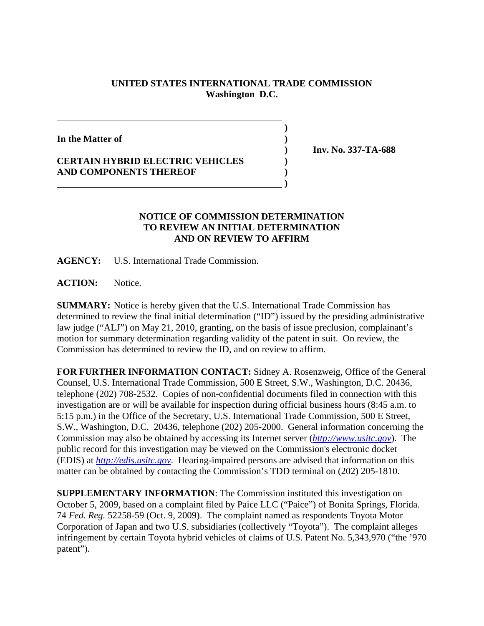## **UNITED STATES INTERNATIONAL TRADE COMMISSION Washington D.C.**

**)**

**In the Matter of )**

## **CERTAIN HYBRID ELECTRIC VEHICLES ) AND COMPONENTS THEREOF )**

 **)**

 **) Inv. No. 337-TA-688**

## **NOTICE OF COMMISSION DETERMINATION TO REVIEW AN INITIAL DETERMINATION AND ON REVIEW TO AFFIRM**

**AGENCY:** U.S. International Trade Commission.

ACTION: Notice.

**SUMMARY:** Notice is hereby given that the U.S. International Trade Commission has determined to review the final initial determination ("ID") issued by the presiding administrative law judge ("ALJ") on May 21, 2010, granting, on the basis of issue preclusion, complainant's motion for summary determination regarding validity of the patent in suit. On review, the Commission has determined to review the ID, and on review to affirm.

**FOR FURTHER INFORMATION CONTACT:** Sidney A. Rosenzweig, Office of the General Counsel, U.S. International Trade Commission, 500 E Street, S.W., Washington, D.C. 20436, telephone (202) 708-2532. Copies of non-confidential documents filed in connection with this investigation are or will be available for inspection during official business hours (8:45 a.m. to 5:15 p.m.) in the Office of the Secretary, U.S. International Trade Commission, 500 E Street, S.W., Washington, D.C. 20436, telephone (202) 205-2000. General information concerning the Commission may also be obtained by accessing its Internet server (*http://www.usitc.gov*). The public record for this investigation may be viewed on the Commission's electronic docket (EDIS) at *http://edis.usitc.gov*. Hearing-impaired persons are advised that information on this matter can be obtained by contacting the Commission's TDD terminal on (202) 205-1810.

**SUPPLEMENTARY INFORMATION**: The Commission instituted this investigation on October 5, 2009, based on a complaint filed by Paice LLC ("Paice") of Bonita Springs, Florida. 74 *Fed. Reg.* 52258-59 (Oct. 9, 2009). The complaint named as respondents Toyota Motor Corporation of Japan and two U.S. subsidiaries (collectively "Toyota"). The complaint alleges infringement by certain Toyota hybrid vehicles of claims of U.S. Patent No. 5,343,970 ("the '970 patent").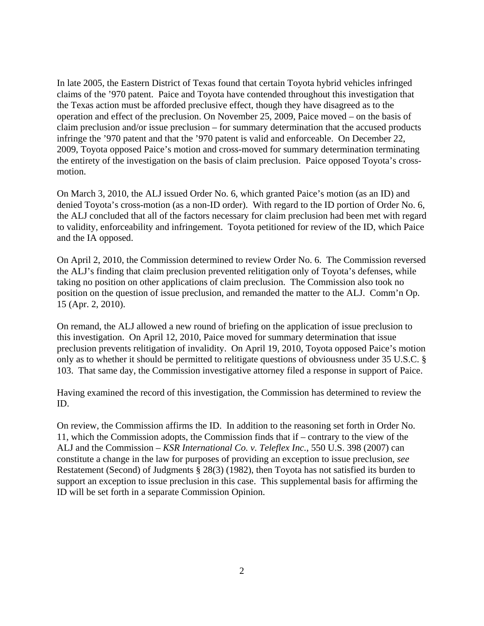In late 2005, the Eastern District of Texas found that certain Toyota hybrid vehicles infringed claims of the '970 patent. Paice and Toyota have contended throughout this investigation that the Texas action must be afforded preclusive effect, though they have disagreed as to the operation and effect of the preclusion. On November 25, 2009, Paice moved – on the basis of claim preclusion and/or issue preclusion – for summary determination that the accused products infringe the '970 patent and that the '970 patent is valid and enforceable. On December 22, 2009, Toyota opposed Paice's motion and cross-moved for summary determination terminating the entirety of the investigation on the basis of claim preclusion. Paice opposed Toyota's crossmotion.

On March 3, 2010, the ALJ issued Order No. 6, which granted Paice's motion (as an ID) and denied Toyota's cross-motion (as a non-ID order). With regard to the ID portion of Order No. 6, the ALJ concluded that all of the factors necessary for claim preclusion had been met with regard to validity, enforceability and infringement. Toyota petitioned for review of the ID, which Paice and the IA opposed.

On April 2, 2010, the Commission determined to review Order No. 6. The Commission reversed the ALJ's finding that claim preclusion prevented relitigation only of Toyota's defenses, while taking no position on other applications of claim preclusion. The Commission also took no position on the question of issue preclusion, and remanded the matter to the ALJ. Comm'n Op. 15 (Apr. 2, 2010).

On remand, the ALJ allowed a new round of briefing on the application of issue preclusion to this investigation. On April 12, 2010, Paice moved for summary determination that issue preclusion prevents relitigation of invalidity. On April 19, 2010, Toyota opposed Paice's motion only as to whether it should be permitted to relitigate questions of obviousness under 35 U.S.C. § 103. That same day, the Commission investigative attorney filed a response in support of Paice.

Having examined the record of this investigation, the Commission has determined to review the ID.

On review, the Commission affirms the ID. In addition to the reasoning set forth in Order No. 11, which the Commission adopts, the Commission finds that if – contrary to the view of the ALJ and the Commission – *KSR International Co. v. Teleflex Inc.*, 550 U.S. 398 (2007) can constitute a change in the law for purposes of providing an exception to issue preclusion, *see* Restatement (Second) of Judgments § 28(3) (1982), then Toyota has not satisfied its burden to support an exception to issue preclusion in this case. This supplemental basis for affirming the ID will be set forth in a separate Commission Opinion.